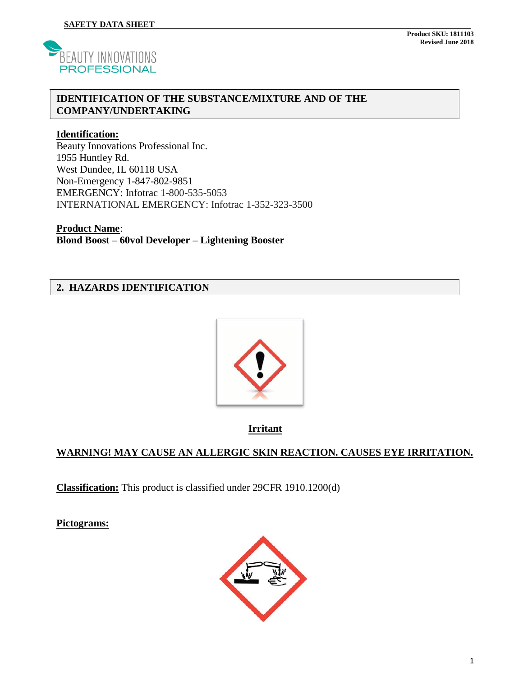

#### **IDENTIFICATION OF THE SUBSTANCE/MIXTURE AND OF THE COMPANY/UNDERTAKING**

#### **Identification:**

Beauty Innovations Professional Inc. 1955 Huntley Rd. West Dundee, IL 60118 USA Non-Emergency 1-847-802-9851 EMERGENCY: Infotrac 1-800-535-5053 INTERNATIONAL EMERGENCY: Infotrac 1-352-323-3500

**Product Name**: **Blond Boost – 60vol Developer – Lightening Booster**

### **2. HAZARDS IDENTIFICATION**



**Irritant**

## **WARNING! MAY CAUSE AN ALLERGIC SKIN REACTION. CAUSES EYE IRRITATION.**

**Classification:** This product is classified under 29CFR 1910.1200(d)

**Pictograms:** 

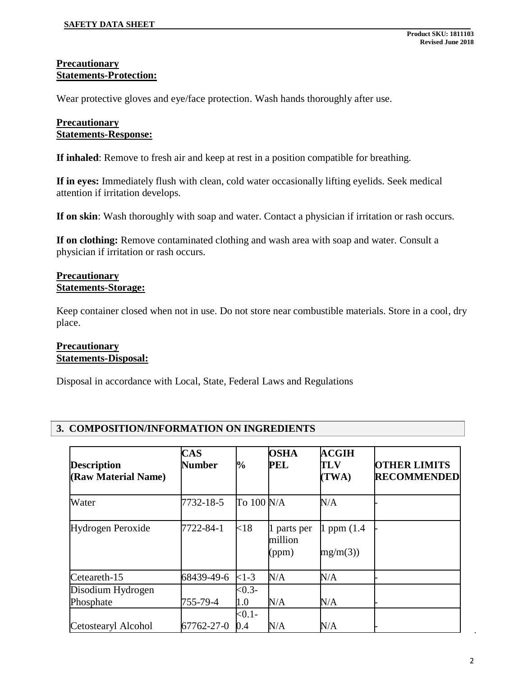#### **Precautionary Statements-Protection:**

Wear protective gloves and eye/face protection. Wash hands thoroughly after use.

### **Precautionary Statements-Response:**

**If inhaled**: Remove to fresh air and keep at rest in a position compatible for breathing.

**If in eyes:** Immediately flush with clean, cold water occasionally lifting eyelids. Seek medical attention if irritation develops.

**If on skin**: Wash thoroughly with soap and water. Contact a physician if irritation or rash occurs.

**If on clothing:** Remove contaminated clothing and wash area with soap and water. Consult a physician if irritation or rash occurs.

#### **Precautionary Statements-Storage:**

Keep container closed when not in use. Do not store near combustible materials. Store in a cool, dry place.

### **Precautionary Statements-Disposal:**

Disposal in accordance with Local, State, Federal Laws and Regulations

## **3. COMPOSITION/INFORMATION ON INGREDIENTS**

| <b>Description</b><br>(Raw Material Name) | <b>CAS</b><br>Number | $\frac{1}{2}$      | <b>OSHA</b><br>PEL              | <b>ACGIH</b><br><b>TLV</b><br>(TWA) | <b>OTHER LIMITS</b><br><b>RECOMMENDED</b> |
|-------------------------------------------|----------------------|--------------------|---------------------------------|-------------------------------------|-------------------------------------------|
| Water                                     | 7732-18-5            | To 100 N/A         |                                 | N/A                                 |                                           |
| Hydrogen Peroxide                         | 7722-84-1            | ${<}18$            | 1 parts per<br>million<br>(ppm) | 1 ppm $(1.4)$<br>mg/m(3)            |                                           |
| Ceteareth-15                              | 68439-49-6           | $<1-3$             | N/A                             | N/A                                 |                                           |
| Disodium Hydrogen<br>Phosphate            | 755-79-4             | $<0.3-$<br>$1.0\,$ | N/A                             | N/A                                 |                                           |
| Cetostearyl Alcohol                       | 67762-27-0           | $< 0.1 -$<br>0.4   | N/A                             | N/A                                 |                                           |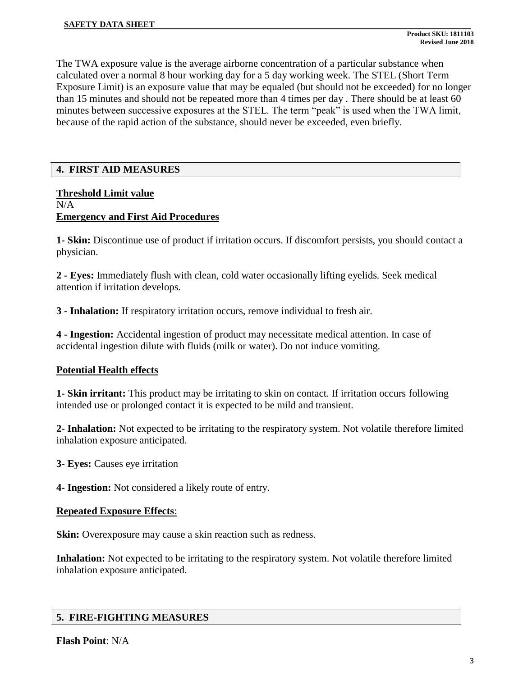The TWA exposure value is the average airborne concentration of a particular substance when calculated over a normal 8 hour working day for a 5 day working week. The STEL (Short Term Exposure Limit) is an exposure value that may be equaled (but should not be exceeded) for no longer than 15 minutes and should not be repeated more than 4 times per day . There should be at least 60 minutes between successive exposures at the STEL. The term "peak" is used when the TWA limit, because of the rapid action of the substance, should never be exceeded, even briefly.

## **4. FIRST AID MEASURES**

## **Threshold Limit value** N/A **Emergency and First Aid Procedures**

**1- Skin:** Discontinue use of product if irritation occurs. If discomfort persists, you should contact a physician.

**2 - Eyes:** Immediately flush with clean, cold water occasionally lifting eyelids. Seek medical attention if irritation develops.

**3 - Inhalation:** If respiratory irritation occurs, remove individual to fresh air.

**4 - Ingestion:** Accidental ingestion of product may necessitate medical attention. In case of accidental ingestion dilute with fluids (milk or water). Do not induce vomiting.

## **Potential Health effects**

**1- Skin irritant:** This product may be irritating to skin on contact. If irritation occurs following intended use or prolonged contact it is expected to be mild and transient.

**2- Inhalation:** Not expected to be irritating to the respiratory system. Not volatile therefore limited inhalation exposure anticipated.

**3- Eyes:** Causes eye irritation

**4- Ingestion:** Not considered a likely route of entry.

## **Repeated Exposure Effects**:

**Skin:** Overexposure may cause a skin reaction such as redness.

**Inhalation:** Not expected to be irritating to the respiratory system. Not volatile therefore limited inhalation exposure anticipated.

## **5. FIRE-FIGHTING MEASURES**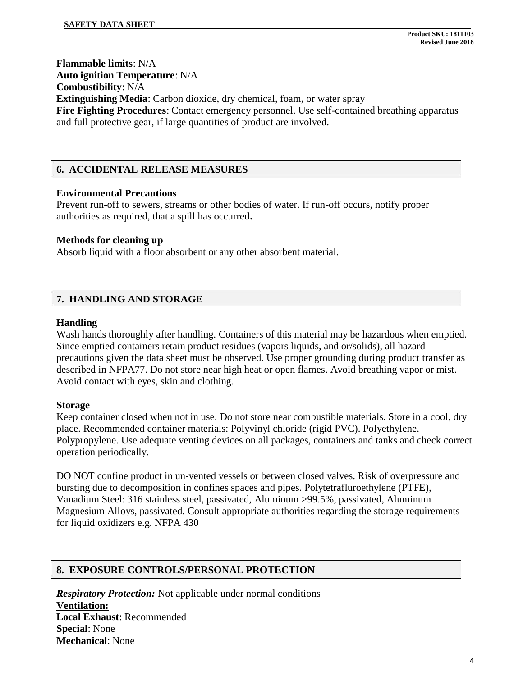**Flammable limits**: N/A

**Auto ignition Temperature**: N/A

**Combustibility**: N/A

**Extinguishing Media**: Carbon dioxide, dry chemical, foam, or water spray **Fire Fighting Procedures**: Contact emergency personnel. Use self-contained breathing apparatus and full protective gear, if large quantities of product are involved.

## **6. ACCIDENTAL RELEASE MEASURES**

### **Environmental Precautions**

Prevent run-off to sewers, streams or other bodies of water. If run-off occurs, notify proper authorities as required, that a spill has occurred**.**

### **Methods for cleaning up**

Absorb liquid with a floor absorbent or any other absorbent material.

## **7. HANDLING AND STORAGE**

### **Handling**

Wash hands thoroughly after handling. Containers of this material may be hazardous when emptied. Since emptied containers retain product residues (vapors liquids, and or/solids), all hazard precautions given the data sheet must be observed. Use proper grounding during product transfer as described in NFPA77. Do not store near high heat or open flames. Avoid breathing vapor or mist. Avoid contact with eyes, skin and clothing.

#### **Storage**

Keep container closed when not in use. Do not store near combustible materials. Store in a cool, dry place. Recommended container materials: Polyvinyl chloride (rigid PVC). Polyethylene. Polypropylene. Use adequate venting devices on all packages, containers and tanks and check correct operation periodically.

DO NOT confine product in un-vented vessels or between closed valves. Risk of overpressure and bursting due to decomposition in confines spaces and pipes. Polytetrafluroethylene (PTFE), Vanadium Steel: 316 stainless steel, passivated, Aluminum >99.5%, passivated, Aluminum Magnesium Alloys, passivated. Consult appropriate authorities regarding the storage requirements for liquid oxidizers e.g. NFPA 430

## **8. EXPOSURE CONTROLS/PERSONAL PROTECTION**

*Respiratory Protection:* Not applicable under normal conditions **Ventilation: Local Exhaust**: Recommended **Special**: None **Mechanical**: None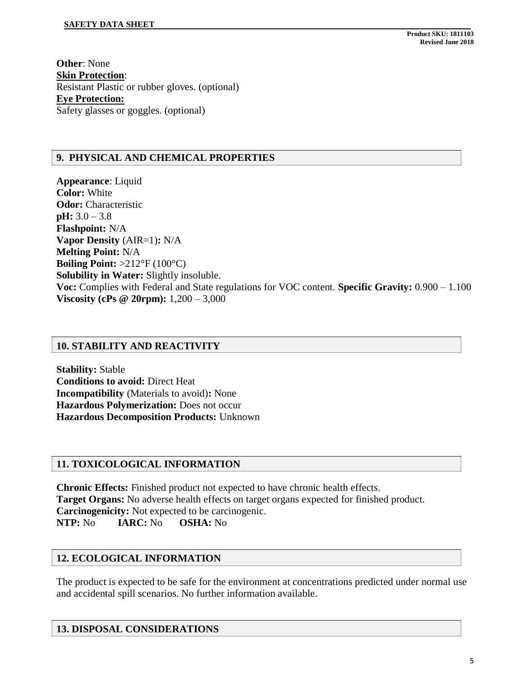**Other**: None **Skin Protection**: Resistant Plastic or rubber gloves. (optional) **Eye Protection:** Safety glasses or goggles. (optional)

## **9. PHYSICAL AND CHEMICAL PROPERTIES**

**Appearance**: Liquid **Color:** White **Odor:** Characteristic **pH:** 3.0 – 3.8 **Flashpoint:** N/A **Vapor Density** (AIR=1)**:** N/A **Melting Point:** N/A **Boiling Point:** >212°F (100°C) **Solubility in Water:** Slightly insoluble. **Voc:** Complies with Federal and State regulations for VOC content. **Specific Gravity:** 0.900 – 1.100 **Viscosity (cPs @ 20rpm):** 1,200 – 3,000

## **10. STABILITY AND REACTIVITY**

**Stability:** Stable **Conditions to avoid:** Direct Heat **Incompatibility** (Materials to avoid)**:** None **Hazardous Polymerization:** Does not occur **Hazardous Decomposition Products:** Unknown

#### **11. TOXICOLOGICAL INFORMATION**

**Chronic Effects:** Finished product not expected to have chronic health effects. **Target Organs:** No adverse health effects on target organs expected for finished product. **Carcinogenicity:** Not expected to be carcinogenic. **NTP:** No **IARC:** No **OSHA:** No

#### **12. ECOLOGICAL INFORMATION**

The product is expected to be safe for the environment at concentrations predicted under normal use and accidental spill scenarios. No further information available.

## **13. DISPOSAL CONSIDERATIONS**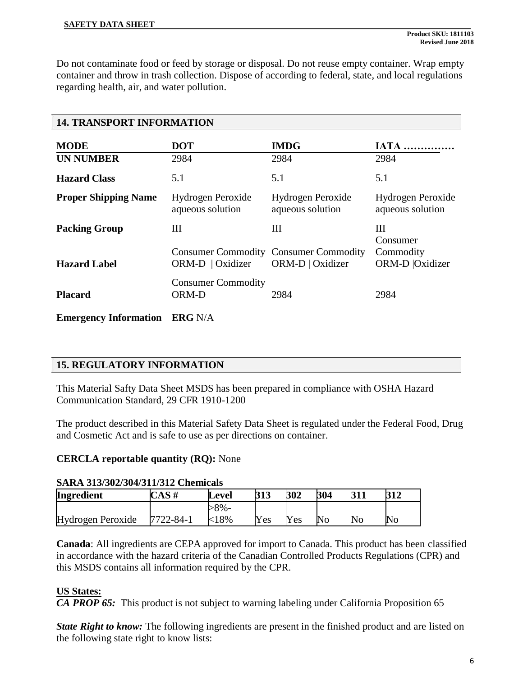Do not contaminate food or feed by storage or disposal. Do not reuse empty container. Wrap empty container and throw in trash collection. Dispose of according to federal, state, and local regulations regarding health, air, and water pollution.

| <b>14. TRANSPORT INFORMATION</b> |                                       |                                                                  |                                       |  |  |  |  |
|----------------------------------|---------------------------------------|------------------------------------------------------------------|---------------------------------------|--|--|--|--|
| <b>MODE</b>                      | <b>DOT</b>                            | <b>IMDG</b>                                                      | <b>IATA</b>                           |  |  |  |  |
| <b>UN NUMBER</b>                 | 2984                                  | 2984                                                             | 2984                                  |  |  |  |  |
| <b>Hazard Class</b>              | 5.1                                   | 5.1                                                              | 5.1                                   |  |  |  |  |
| <b>Proper Shipping Name</b>      | Hydrogen Peroxide<br>aqueous solution | Hydrogen Peroxide<br>aqueous solution                            | Hydrogen Peroxide<br>aqueous solution |  |  |  |  |
| <b>Packing Group</b>             | Ш                                     | Ш                                                                | Ш<br>Consumer                         |  |  |  |  |
| <b>Hazard Label</b>              | ORM-D   Oxidizer                      | <b>Consumer Commodity Consumer Commodity</b><br>ORM-D   Oxidizer | Commodity<br>ORM-D   Oxidizer         |  |  |  |  |
| <b>Placard</b>                   | <b>Consumer Commodity</b><br>ORM-D    | 2984                                                             | 2984                                  |  |  |  |  |
| <b>Emergency Information</b>     | <b>ERG N/A</b>                        |                                                                  |                                       |  |  |  |  |

## **15. REGULATORY INFORMATION**

This Material Safty Data Sheet MSDS has been prepared in compliance with OSHA Hazard Communication Standard, 29 CFR 1910-1200

The product described in this Material Safety Data Sheet is regulated under the Federal Food, Drug and Cosmetic Act and is safe to use as per directions on container.

#### **CERCLA reportable quantity (RQ):** None

# **SARA 313/302/304/311/312 Chemicals**

| Ingredient        | CAS#            | Level   | 313 | 302 | 304            | 311 | 212                |
|-------------------|-----------------|---------|-----|-----|----------------|-----|--------------------|
|                   |                 | $8\%$ - |     |     |                |     |                    |
| Hydrogen Peroxide | $7722 - 84 - 1$ | 8%      | Yes | Yes | N <sub>o</sub> | No  | $\overline{N}_{O}$ |

**Canada**: All ingredients are CEPA approved for import to Canada. This product has been classified in accordance with the hazard criteria of the Canadian Controlled Products Regulations (CPR) and this MSDS contains all information required by the CPR.

## **US States:**

*CA PROP 65:* This product is not subject to warning labeling under California Proposition 65

*State Right to know:* The following ingredients are present in the finished product and are listed on the following state right to know lists: